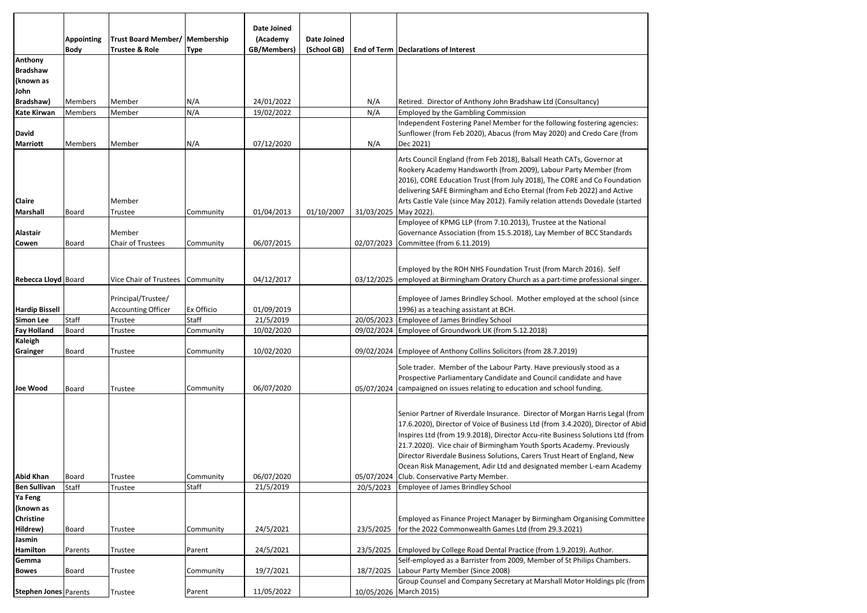|                                                 | <b>Appointing</b><br><b>Body</b> | Trust Board Member/   Membership<br>Trustee & Role     | Type               | <b>Date Joined</b><br>(Academy<br>GB/Members) | Date Joined<br>(School GB) |            | End of Term Declarations of Interest                                                                                                                                                                                                                                                                                                                                                                                                                                                                                                                                       |
|-------------------------------------------------|----------------------------------|--------------------------------------------------------|--------------------|-----------------------------------------------|----------------------------|------------|----------------------------------------------------------------------------------------------------------------------------------------------------------------------------------------------------------------------------------------------------------------------------------------------------------------------------------------------------------------------------------------------------------------------------------------------------------------------------------------------------------------------------------------------------------------------------|
| Anthony<br><b>Bradshaw</b><br>(known as<br>John |                                  |                                                        |                    |                                               |                            |            |                                                                                                                                                                                                                                                                                                                                                                                                                                                                                                                                                                            |
| Bradshaw)                                       | Members                          | Member                                                 | N/A                | 24/01/2022                                    |                            | N/A        | Retired. Director of Anthony John Bradshaw Ltd (Consultancy)                                                                                                                                                                                                                                                                                                                                                                                                                                                                                                               |
| <b>Kate Kirwan</b>                              | Members                          | Member                                                 | N/A                | 19/02/2022                                    |                            | N/A        | <b>Employed by the Gambling Commission</b>                                                                                                                                                                                                                                                                                                                                                                                                                                                                                                                                 |
| David<br><b>Marriott</b>                        | Members                          | Member                                                 | N/A                | 07/12/2020                                    |                            | N/A        | Independent Fostering Panel Member for the following fostering agencies:<br>Sunflower (from Feb 2020), Abacus (from May 2020) and Credo Care (from<br>Dec 2021)                                                                                                                                                                                                                                                                                                                                                                                                            |
| Claire                                          |                                  | Member                                                 |                    |                                               |                            |            | Arts Council England (from Feb 2018), Balsall Heath CATs, Governor at<br>Rookery Academy Handsworth (from 2009), Labour Party Member (from<br>2016), CORE Education Trust (from July 2018), The CORE and Co Foundation<br>delivering SAFE Birmingham and Echo Eternal (from Feb 2022) and Active<br>Arts Castle Vale (since May 2012). Family relation attends Dovedale (started                                                                                                                                                                                           |
| Marshall                                        | Board                            | Trustee                                                | Community          | 01/04/2013                                    | 01/10/2007                 | 31/03/2025 | May 2022).                                                                                                                                                                                                                                                                                                                                                                                                                                                                                                                                                                 |
| Alastair<br>Cowen                               | Board                            | Member<br>Chair of Trustees                            | Community          | 06/07/2015                                    |                            | 02/07/2023 | Employee of KPMG LLP (from 7.10.2013), Trustee at the National<br>Governance Association (from 15.5.2018), Lay Member of BCC Standards<br>Committee (from 6.11.2019)                                                                                                                                                                                                                                                                                                                                                                                                       |
| Rebecca Lloyd Board                             |                                  | Vice Chair of Trustees Community<br>Principal/Trustee/ |                    | 04/12/2017                                    |                            | 03/12/2025 | Employed by the ROH NHS Foundation Trust (from March 2016). Self<br>employed at Birmingham Oratory Church as a part-time professional singer.<br>Employee of James Brindley School. Mother employed at the school (since                                                                                                                                                                                                                                                                                                                                                   |
| <b>Hardip Bissell</b>                           |                                  | <b>Accounting Officer</b>                              | Ex Officio         | 01/09/2019                                    |                            |            | 1996) as a teaching assistant at BCH.                                                                                                                                                                                                                                                                                                                                                                                                                                                                                                                                      |
| <b>Simon Lee</b>                                | Staff                            | Trustee                                                | Staff              | 21/5/2019                                     |                            |            | 20/05/2023 Employee of James Brindley School                                                                                                                                                                                                                                                                                                                                                                                                                                                                                                                               |
| <b>Fay Holland</b>                              | Board                            | Trustee                                                | Community          | 10/02/2020                                    |                            |            | 09/02/2024 Employee of Groundwork UK (from 5.12.2018)                                                                                                                                                                                                                                                                                                                                                                                                                                                                                                                      |
| Kaleigh<br>Grainger                             | Board                            | Trustee                                                | Community          | 10/02/2020                                    |                            |            | 09/02/2024 Employee of Anthony Collins Solicitors (from 28.7.2019)                                                                                                                                                                                                                                                                                                                                                                                                                                                                                                         |
| <b>Joe Wood</b>                                 | Board                            | Trustee                                                | Community          | 06/07/2020                                    |                            |            | Sole trader. Member of the Labour Party. Have previously stood as a<br>Prospective Parliamentary Candidate and Council candidate and have<br>05/07/2024 campaigned on issues relating to education and school funding.                                                                                                                                                                                                                                                                                                                                                     |
| <b>Abid Khan</b><br><b>Ben Sullivan</b>         | Board<br>Staff                   | Trustee                                                | Community<br>Staff | 06/07/2020<br>21/5/2019                       |                            | 20/5/2023  | Senior Partner of Riverdale Insurance. Director of Morgan Harris Legal (from<br>17.6.2020), Director of Voice of Business Ltd (from 3.4.2020), Director of Abid<br>Inspires Ltd (from 19.9.2018), Director Accu-rite Business Solutions Ltd (from<br>21.7.2020). Vice chair of Birmingham Youth Sports Academy. Previously<br>Director Riverdale Business Solutions, Carers Trust Heart of England, New<br>Ocean Risk Management, Adir Ltd and designated member L-earn Academy<br>05/07/2024 Club. Conservative Party Member.<br><b>Employee of James Brindley School</b> |
|                                                 |                                  | Trustee                                                |                    |                                               |                            |            |                                                                                                                                                                                                                                                                                                                                                                                                                                                                                                                                                                            |
| Ya Feng<br>(known as<br>Christine<br>Hildrew)   | Board                            | Trustee                                                | Community          | 24/5/2021                                     |                            | 23/5/2025  | Employed as Finance Project Manager by Birmingham Organising Committee<br>for the 2022 Commonwealth Games Ltd (from 29.3.2021)                                                                                                                                                                                                                                                                                                                                                                                                                                             |
| Jasmin<br>Hamilton                              |                                  |                                                        |                    | 24/5/2021                                     |                            |            |                                                                                                                                                                                                                                                                                                                                                                                                                                                                                                                                                                            |
| Gemma                                           | Parents                          | Trustee                                                | Parent             |                                               |                            | 23/5/2025  | Employed by College Road Dental Practice (from 1.9.2019). Author.<br>Self-employed as a Barrister from 2009, Member of St Philips Chambers.                                                                                                                                                                                                                                                                                                                                                                                                                                |
| <b>Bowes</b>                                    | Board                            | Trustee                                                | Community          | 19/7/2021                                     |                            | 18/7/2025  | Labour Party Member (Since 2008)                                                                                                                                                                                                                                                                                                                                                                                                                                                                                                                                           |
| <b>Stephen Jones Parents</b>                    |                                  | Trustee                                                | Parent             | 11/05/2022                                    |                            |            | Group Counsel and Company Secretary at Marshall Motor Holdings plc (from<br>10/05/2026 March 2015)                                                                                                                                                                                                                                                                                                                                                                                                                                                                         |